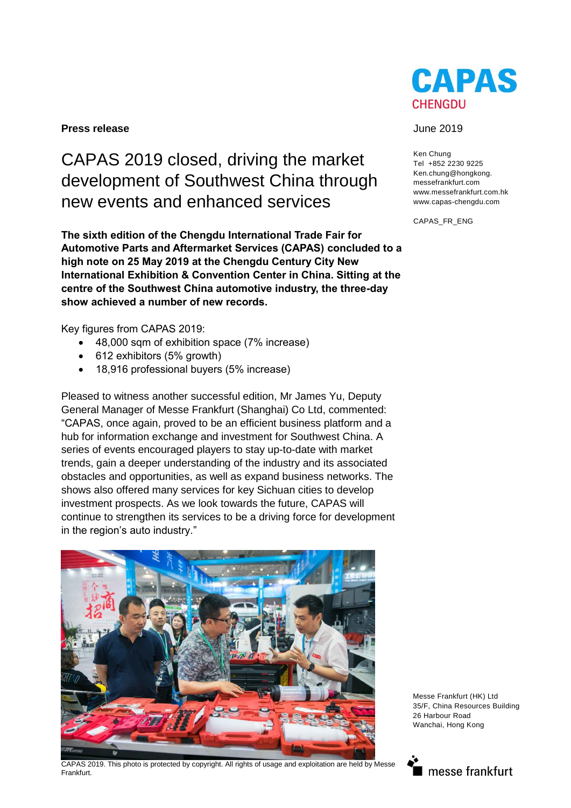#### **Press release** June 2019

# CAPAS 2019 closed, driving the market development of Southwest China through new events and enhanced services

**The sixth edition of the Chengdu International Trade Fair for Automotive Parts and Aftermarket Services (CAPAS) concluded to a high note on 25 May 2019 at the Chengdu Century City New International Exhibition & Convention Center in China. Sitting at the centre of the Southwest China automotive industry, the three-day show achieved a number of new records.** 

Key figures from CAPAS 2019:

- 48,000 sqm of exhibition space (7% increase)
- 612 exhibitors (5% growth)
- 18,916 professional buyers (5% increase)

Pleased to witness another successful edition, Mr James Yu, Deputy General Manager of Messe Frankfurt (Shanghai) Co Ltd, commented: "CAPAS, once again, proved to be an efficient business platform and a hub for information exchange and investment for Southwest China. A series of events encouraged players to stay up-to-date with market trends, gain a deeper understanding of the industry and its associated obstacles and opportunities, as well as expand business networks. The shows also offered many services for key Sichuan cities to develop investment prospects. As we look towards the future, CAPAS will continue to strengthen its services to be a driving force for development in the region's auto industry."



CAPAS 2019. This photo is protected by copyright. All rights of usage and exploitation are held by Messe Frankfurt.



Ken Chung Tel +852 2230 9225 Ken.chung@hongkong. messefrankfurt.com www.messefrankfurt.com.hk www.capas-chengdu.com

CAPAS\_FR\_ENG

Messe Frankfurt (HK) Ltd 35/F, China Resources Building 26 Harbour Road Wanchai, Hong Kong

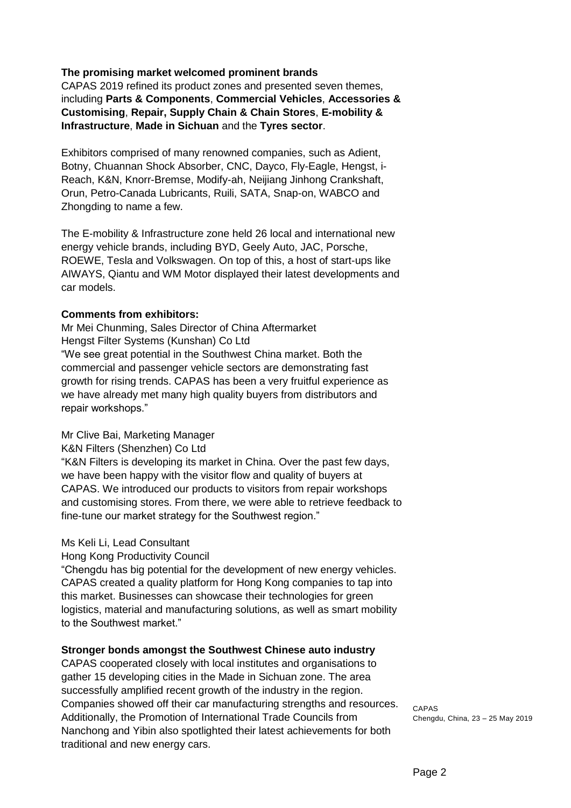## **The promising market welcomed prominent brands**

CAPAS 2019 refined its product zones and presented seven themes, including **Parts & Components**, **Commercial Vehicles**, **Accessories & Customising**, **Repair, Supply Chain & Chain Stores**, **E-mobility & Infrastructure**, **Made in Sichuan** and the **Tyres sector**.

Exhibitors comprised of many renowned companies, such as Adient, Botny, Chuannan Shock Absorber, CNC, Dayco, Fly-Eagle, Hengst, i-Reach, K&N, Knorr-Bremse, Modify-ah, Neijiang Jinhong Crankshaft, Orun, Petro-Canada Lubricants, Ruili, SATA, Snap-on, WABCO and Zhongding to name a few.

The E-mobility & Infrastructure zone held 26 local and international new energy vehicle brands, including BYD, Geely Auto, JAC, Porsche, ROEWE, Tesla and Volkswagen. On top of this, a host of start-ups like AIWAYS, Qiantu and WM Motor displayed their latest developments and car models.

### **Comments from exhibitors:**

Mr Mei Chunming, Sales Director of China Aftermarket Hengst Filter Systems (Kunshan) Co Ltd "We see great potential in the Southwest China market. Both the commercial and passenger vehicle sectors are demonstrating fast growth for rising trends. CAPAS has been a very fruitful experience as we have already met many high quality buyers from distributors and repair workshops."

### Mr Clive Bai, Marketing Manager

K&N Filters (Shenzhen) Co Ltd

"K&N Filters is developing its market in China. Over the past few days, we have been happy with the visitor flow and quality of buyers at CAPAS. We introduced our products to visitors from repair workshops and customising stores. From there, we were able to retrieve feedback to fine-tune our market strategy for the Southwest region."

### Ms Keli Li, Lead Consultant

Hong Kong Productivity Council

"Chengdu has big potential for the development of new energy vehicles. CAPAS created a quality platform for Hong Kong companies to tap into this market. Businesses can showcase their technologies for green logistics, material and manufacturing solutions, as well as smart mobility to the Southwest market."

### **Stronger bonds amongst the Southwest Chinese auto industry**

CAPAS cooperated closely with local institutes and organisations to gather 15 developing cities in the Made in Sichuan zone. The area successfully amplified recent growth of the industry in the region. Companies showed off their car manufacturing strengths and resources. Additionally, the Promotion of International Trade Councils from Nanchong and Yibin also spotlighted their latest achievements for both traditional and new energy cars.

CAPAS Chengdu, China, 23 – 25 May 2019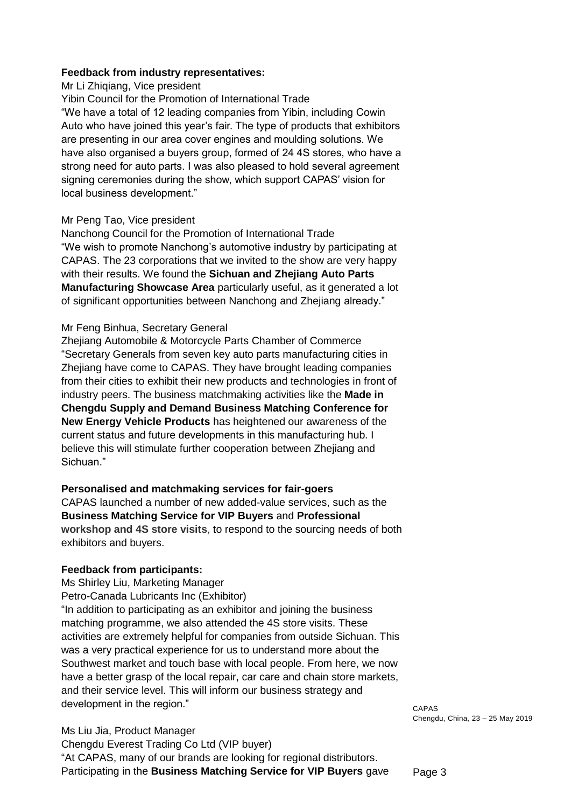#### **Feedback from industry representatives:**

Mr Li Zhiqiang, Vice president

Yibin Council for the Promotion of International Trade

"We have a total of 12 leading companies from Yibin, including Cowin Auto who have joined this year's fair. The type of products that exhibitors are presenting in our area cover engines and moulding solutions. We have also organised a buyers group, formed of 24 4S stores, who have a strong need for auto parts. I was also pleased to hold several agreement signing ceremonies during the show, which support CAPAS' vision for local business development."

#### Mr Peng Tao, Vice president

Nanchong Council for the Promotion of International Trade "We wish to promote Nanchong's automotive industry by participating at CAPAS. The 23 corporations that we invited to the show are very happy with their results. We found the **Sichuan and Zhejiang Auto Parts Manufacturing Showcase Area** particularly useful, as it generated a lot of significant opportunities between Nanchong and Zhejiang already."

#### Mr Feng Binhua, Secretary General

Zhejiang Automobile & Motorcycle Parts Chamber of Commerce "Secretary Generals from seven key auto parts manufacturing cities in Zhejiang have come to CAPAS. They have brought leading companies from their cities to exhibit their new products and technologies in front of industry peers. The business matchmaking activities like the **Made in Chengdu Supply and Demand Business Matching Conference for New Energy Vehicle Products** has heightened our awareness of the current status and future developments in this manufacturing hub. I believe this will stimulate further cooperation between Zhejiang and Sichuan."

**Personalised and matchmaking services for fair-goers**  CAPAS launched a number of new added-value services, such as the **Business Matching Service for VIP Buyers** and **Professional workshop and 4S store visits**, to respond to the sourcing needs of both exhibitors and buyers.

### **Feedback from participants:**

Ms Shirley Liu, Marketing Manager Petro-Canada Lubricants Inc (Exhibitor) "In addition to participating as an exhibitor and joining the business matching programme, we also attended the 4S store visits. These activities are extremely helpful for companies from outside Sichuan. This was a very practical experience for us to understand more about the Southwest market and touch base with local people. From here, we now have a better grasp of the local repair, car care and chain store markets, and their service level. This will inform our business strategy and development in the region."

Ms Liu Jia, Product Manager Chengdu Everest Trading Co Ltd (VIP buyer) "At CAPAS, many of our brands are looking for regional distributors. Participating in the **Business Matching Service for VIP Buyers** gave CAPAS Chengdu, China, 23 – 25 May 2019

Page 3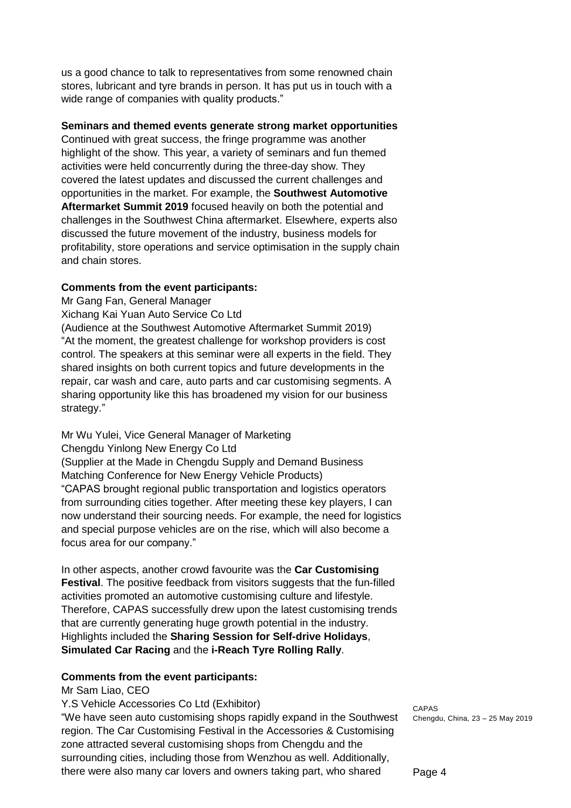us a good chance to talk to representatives from some renowned chain stores, lubricant and tyre brands in person. It has put us in touch with a wide range of companies with quality products."

### **Seminars and themed events generate strong market opportunities**

Continued with great success, the fringe programme was another highlight of the show. This year, a variety of seminars and fun themed activities were held concurrently during the three-day show. They covered the latest updates and discussed the current challenges and opportunities in the market. For example, the **Southwest Automotive Aftermarket Summit 2019** focused heavily on both the potential and challenges in the Southwest China aftermarket. Elsewhere, experts also discussed the future movement of the industry, business models for profitability, store operations and service optimisation in the supply chain and chain stores.

#### **Comments from the event participants:**

Mr Gang Fan, General Manager

Xichang Kai Yuan Auto Service Co Ltd

(Audience at the Southwest Automotive Aftermarket Summit 2019) "At the moment, the greatest challenge for workshop providers is cost control. The speakers at this seminar were all experts in the field. They shared insights on both current topics and future developments in the repair, car wash and care, auto parts and car customising segments. A sharing opportunity like this has broadened my vision for our business strategy."

Mr Wu Yulei, Vice General Manager of Marketing Chengdu Yinlong New Energy Co Ltd (Supplier at the Made in Chengdu Supply and Demand Business Matching Conference for New Energy Vehicle Products) "CAPAS brought regional public transportation and logistics operators from surrounding cities together. After meeting these key players, I can now understand their sourcing needs. For example, the need for logistics and special purpose vehicles are on the rise, which will also become a focus area for our company."

In other aspects, another crowd favourite was the **Car Customising Festival**. The positive feedback from visitors suggests that the fun-filled activities promoted an automotive customising culture and lifestyle. Therefore, CAPAS successfully drew upon the latest customising trends that are currently generating huge growth potential in the industry. Highlights included the **Sharing Session for Self-drive Holidays**, **Simulated Car Racing** and the **i-Reach Tyre Rolling Rally**.

### **Comments from the event participants:**

Mr Sam Liao, CEO

Y.S Vehicle Accessories Co Ltd (Exhibitor)

"We have seen auto customising shops rapidly expand in the Southwest region. The Car Customising Festival in the Accessories & Customising zone attracted several customising shops from Chengdu and the surrounding cities, including those from Wenzhou as well. Additionally, there were also many car lovers and owners taking part, who shared

CAPAS Chengdu, China, 23 – 25 May 2019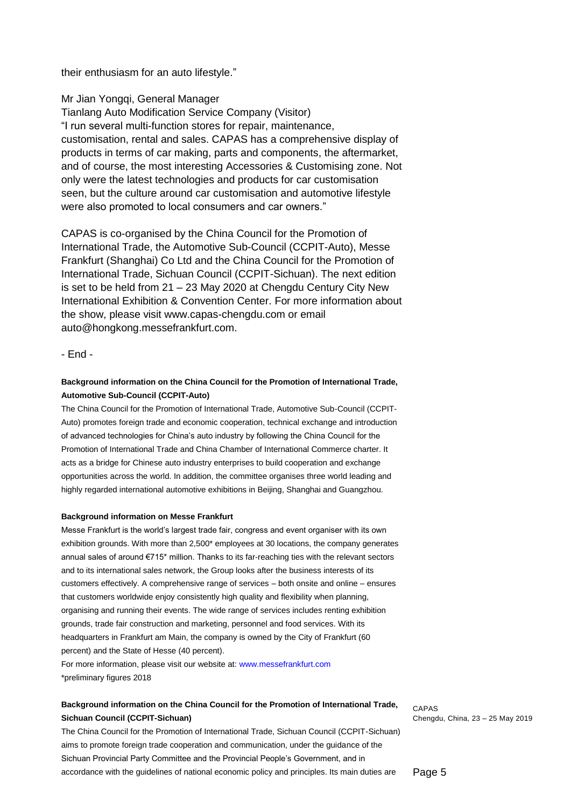their enthusiasm for an auto lifestyle."

Mr Jian Yongqi, General Manager

Tianlang Auto Modification Service Company (Visitor) "I run several multi-function stores for repair, maintenance, customisation, rental and sales. CAPAS has a comprehensive display of products in terms of car making, parts and components, the aftermarket, and of course, the most interesting Accessories & Customising zone. Not only were the latest technologies and products for car customisation seen, but the culture around car customisation and automotive lifestyle were also promoted to local consumers and car owners."

CAPAS is co-organised by the China Council for the Promotion of International Trade, the Automotive Sub-Council (CCPIT-Auto), Messe Frankfurt (Shanghai) Co Ltd and the China Council for the Promotion of International Trade, Sichuan Council (CCPIT-Sichuan). The next edition is set to be held from 21 – 23 May 2020 at Chengdu Century City New International Exhibition & Convention Center. For more information about the show, please visit www.capas-chengdu.com or email auto@hongkong.messefrankfurt.com.

- End -

#### **Background information on the China Council for the Promotion of International Trade, Automotive Sub-Council (CCPIT-Auto)**

The China Council for the Promotion of International Trade, Automotive Sub-Council (CCPIT-Auto) promotes foreign trade and economic cooperation, technical exchange and introduction of advanced technologies for China's auto industry by following the China Council for the Promotion of International Trade and China Chamber of International Commerce charter. It acts as a bridge for Chinese auto industry enterprises to build cooperation and exchange opportunities across the world. In addition, the committee organises three world leading and highly regarded international automotive exhibitions in Beijing, Shanghai and Guangzhou.

#### **Background information on Messe Frankfurt**

Messe Frankfurt is the world's largest trade fair, congress and event organiser with its own exhibition grounds. With more than 2,500\* employees at 30 locations, the company generates annual sales of around €715\* million. Thanks to its far-reaching ties with the relevant sectors and to its international sales network, the Group looks after the business interests of its customers effectively. A comprehensive range of services – both onsite and online – ensures that customers worldwide enjoy consistently high quality and flexibility when planning, organising and running their events. The wide range of services includes renting exhibition grounds, trade fair construction and marketing, personnel and food services. With its headquarters in Frankfurt am Main, the company is owned by the City of Frankfurt (60 percent) and the State of Hesse (40 percent).

For more information, please visit our website at: www.messefrankfurt.com \*preliminary figures 2018

#### **Background information on the China Council for the Promotion of International Trade, Sichuan Council (CCPIT-Sichuan)**

The China Council for the Promotion of International Trade, Sichuan Council (CCPIT-Sichuan) aims to promote foreign trade cooperation and communication, under the guidance of the Sichuan Provincial Party Committee and the Provincial People's Government, and in accordance with the guidelines of national economic policy and principles. Its main duties are

CAPAS Chengdu, China, 23 – 25 May 2019

Page 5